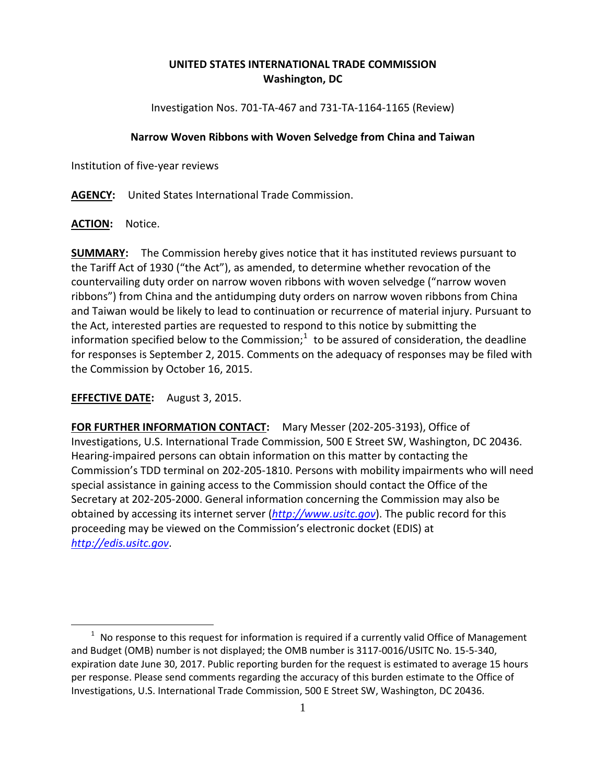## **UNITED STATES INTERNATIONAL TRADE COMMISSION Washington, DC**

Investigation Nos. 701-TA-467 and 731-TA-1164-1165 (Review)

## **Narrow Woven Ribbons with Woven Selvedge from China and Taiwan**

Institution of five-year reviews

**AGENCY:** United States International Trade Commission.

**ACTION:** Notice.

**SUMMARY:** The Commission hereby gives notice that it has instituted reviews pursuant to the Tariff Act of 1930 ("the Act"), as amended, to determine whether revocation of the countervailing duty order on narrow woven ribbons with woven selvedge ("narrow woven ribbons") from China and the antidumping duty orders on narrow woven ribbons from China and Taiwan would be likely to lead to continuation or recurrence of material injury. Pursuant to the Act, interested parties are requested to respond to this notice by submitting the information specified below to the Commission; $1$  to be assured of consideration, the deadline for responses is September 2, 2015. Comments on the adequacy of responses may be filed with the Commission by October 16, 2015.

**EFFECTIVE DATE:** August 3, 2015.

**FOR FURTHER INFORMATION CONTACT:** Mary Messer (202-205-3193), Office of Investigations, U.S. International Trade Commission, 500 E Street SW, Washington, DC 20436. Hearing-impaired persons can obtain information on this matter by contacting the Commission's TDD terminal on 202-205-1810. Persons with mobility impairments who will need special assistance in gaining access to the Commission should contact the Office of the Secretary at 202-205-2000. General information concerning the Commission may also be obtained by accessing its internet server (*[http://www.usitc.gov](http://www.usitc.gov/)*). The public record for this proceeding may be viewed on the Commission's electronic docket (EDIS) at *[http://edis.usitc.gov](http://edis.usitc.gov/)*.

<span id="page-0-0"></span> $\overline{a}$  $1$  No response to this request for information is required if a currently valid Office of Management and Budget (OMB) number is not displayed; the OMB number is 3117-0016/USITC No. 15-5-340, expiration date June 30, 2017. Public reporting burden for the request is estimated to average 15 hours per response. Please send comments regarding the accuracy of this burden estimate to the Office of Investigations, U.S. International Trade Commission, 500 E Street SW, Washington, DC 20436.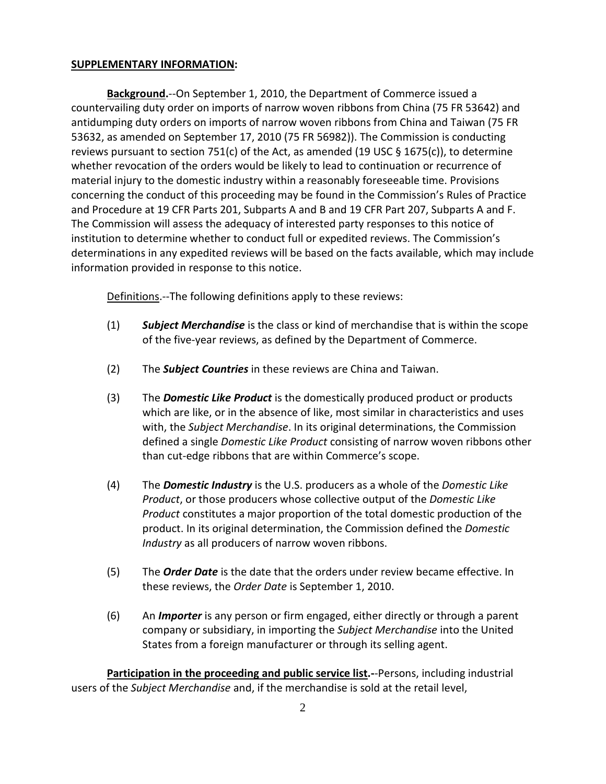## **SUPPLEMENTARY INFORMATION:**

**Background.**--On September 1, 2010, the Department of Commerce issued a countervailing duty order on imports of narrow woven ribbons from China (75 FR 53642) and antidumping duty orders on imports of narrow woven ribbons from China and Taiwan (75 FR 53632, as amended on September 17, 2010 (75 FR 56982)). The Commission is conducting reviews pursuant to section 751(c) of the Act, as amended (19 USC § 1675(c)), to determine whether revocation of the orders would be likely to lead to continuation or recurrence of material injury to the domestic industry within a reasonably foreseeable time. Provisions concerning the conduct of this proceeding may be found in the Commission's Rules of Practice and Procedure at 19 CFR Parts 201, Subparts A and B and 19 CFR Part 207, Subparts A and F. The Commission will assess the adequacy of interested party responses to this notice of institution to determine whether to conduct full or expedited reviews. The Commission's determinations in any expedited reviews will be based on the facts available, which may include information provided in response to this notice.

Definitions.--The following definitions apply to these reviews:

- (1) *Subject Merchandise* is the class or kind of merchandise that is within the scope of the five-year reviews, as defined by the Department of Commerce.
- (2) The *Subject Countries* in these reviews are China and Taiwan.
- (3) The *Domestic Like Product* is the domestically produced product or products which are like, or in the absence of like, most similar in characteristics and uses with, the *Subject Merchandise*. In its original determinations, the Commission defined a single *Domestic Like Product* consisting of narrow woven ribbons other than cut-edge ribbons that are within Commerce's scope.
- (4) The *Domestic Industry* is the U.S. producers as a whole of the *Domestic Like Product*, or those producers whose collective output of the *Domestic Like Product* constitutes a major proportion of the total domestic production of the product. In its original determination, the Commission defined the *Domestic Industry* as all producers of narrow woven ribbons.
- (5) The *Order Date* is the date that the orders under review became effective. In these reviews, the *Order Date* is September 1, 2010.
- (6) An *Importer* is any person or firm engaged, either directly or through a parent company or subsidiary, in importing the *Subject Merchandise* into the United States from a foreign manufacturer or through its selling agent.

**Participation in the proceeding and public service list.-**-Persons, including industrial users of the *Subject Merchandise* and, if the merchandise is sold at the retail level,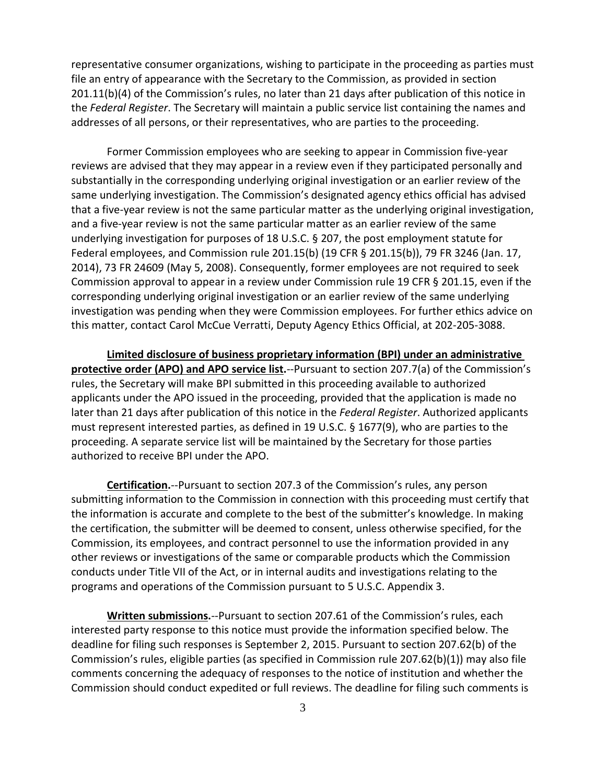representative consumer organizations, wishing to participate in the proceeding as parties must file an entry of appearance with the Secretary to the Commission, as provided in section 201.11(b)(4) of the Commission's rules, no later than 21 days after publication of this notice in the *Federal Register*. The Secretary will maintain a public service list containing the names and addresses of all persons, or their representatives, who are parties to the proceeding.

Former Commission employees who are seeking to appear in Commission five-year reviews are advised that they may appear in a review even if they participated personally and substantially in the corresponding underlying original investigation or an earlier review of the same underlying investigation. The Commission's designated agency ethics official has advised that a five-year review is not the same particular matter as the underlying original investigation, and a five-year review is not the same particular matter as an earlier review of the same underlying investigation for purposes of 18 U.S.C. § 207, the post employment statute for Federal employees, and Commission rule 201.15(b) (19 CFR § 201.15(b)), 79 FR 3246 (Jan. 17, 2014), 73 FR 24609 (May 5, 2008). Consequently, former employees are not required to seek Commission approval to appear in a review under Commission rule 19 CFR § 201.15, even if the corresponding underlying original investigation or an earlier review of the same underlying investigation was pending when they were Commission employees. For further ethics advice on this matter, contact Carol McCue Verratti, Deputy Agency Ethics Official, at 202-205-3088.

**Limited disclosure of business proprietary information (BPI) under an administrative protective order (APO) and APO service list.**--Pursuant to section 207.7(a) of the Commission's rules, the Secretary will make BPI submitted in this proceeding available to authorized applicants under the APO issued in the proceeding, provided that the application is made no later than 21 days after publication of this notice in the *Federal Register*. Authorized applicants must represent interested parties, as defined in 19 U.S.C. § 1677(9), who are parties to the proceeding. A separate service list will be maintained by the Secretary for those parties authorized to receive BPI under the APO.

**Certification.**--Pursuant to section 207.3 of the Commission's rules, any person submitting information to the Commission in connection with this proceeding must certify that the information is accurate and complete to the best of the submitter's knowledge. In making the certification, the submitter will be deemed to consent, unless otherwise specified, for the Commission, its employees, and contract personnel to use the information provided in any other reviews or investigations of the same or comparable products which the Commission conducts under Title VII of the Act, or in internal audits and investigations relating to the programs and operations of the Commission pursuant to 5 U.S.C. Appendix 3.

**Written submissions.**--Pursuant to section 207.61 of the Commission's rules, each interested party response to this notice must provide the information specified below. The deadline for filing such responses is September 2, 2015. Pursuant to section 207.62(b) of the Commission's rules, eligible parties (as specified in Commission rule 207.62(b)(1)) may also file comments concerning the adequacy of responses to the notice of institution and whether the Commission should conduct expedited or full reviews. The deadline for filing such comments is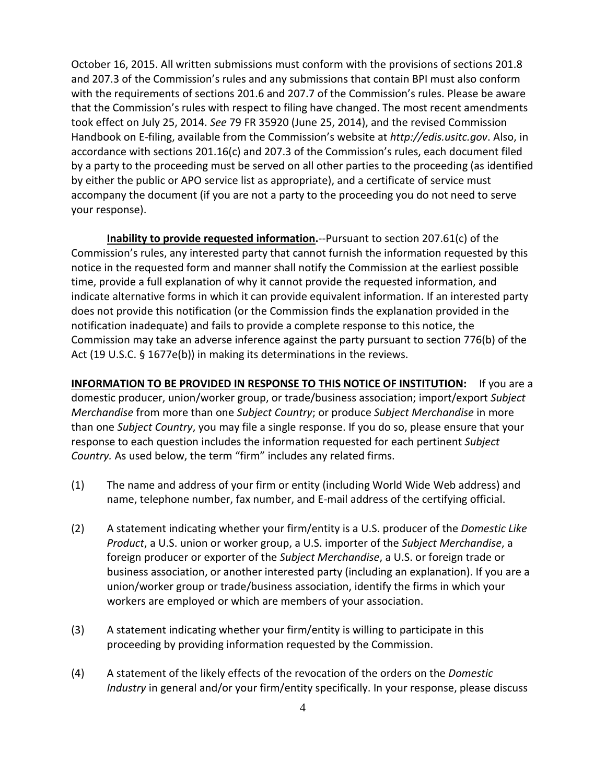October 16, 2015. All written submissions must conform with the provisions of sections 201.8 and 207.3 of the Commission's rules and any submissions that contain BPI must also conform with the requirements of sections 201.6 and 207.7 of the Commission's rules. Please be aware that the Commission's rules with respect to filing have changed. The most recent amendments took effect on July 25, 2014. *See* 79 FR 35920 (June 25, 2014), and the revised Commission Handbook on E-filing, available from the Commission's website at *http://edis.usitc.gov*. Also, in accordance with sections 201.16(c) and 207.3 of the Commission's rules, each document filed by a party to the proceeding must be served on all other parties to the proceeding (as identified by either the public or APO service list as appropriate), and a certificate of service must accompany the document (if you are not a party to the proceeding you do not need to serve your response).

**Inability to provide requested information.**--Pursuant to section 207.61(c) of the Commission's rules, any interested party that cannot furnish the information requested by this notice in the requested form and manner shall notify the Commission at the earliest possible time, provide a full explanation of why it cannot provide the requested information, and indicate alternative forms in which it can provide equivalent information. If an interested party does not provide this notification (or the Commission finds the explanation provided in the notification inadequate) and fails to provide a complete response to this notice, the Commission may take an adverse inference against the party pursuant to section 776(b) of the Act (19 U.S.C. § 1677e(b)) in making its determinations in the reviews.

**INFORMATION TO BE PROVIDED IN RESPONSE TO THIS NOTICE OF INSTITUTION:** If you are a domestic producer, union/worker group, or trade/business association; import/export *Subject Merchandise* from more than one *Subject Country*; or produce *Subject Merchandise* in more than one *Subject Country*, you may file a single response. If you do so, please ensure that your response to each question includes the information requested for each pertinent *Subject Country.* As used below, the term "firm" includes any related firms.

- (1) The name and address of your firm or entity (including World Wide Web address) and name, telephone number, fax number, and E-mail address of the certifying official.
- (2) A statement indicating whether your firm/entity is a U.S. producer of the *Domestic Like Product*, a U.S. union or worker group, a U.S. importer of the *Subject Merchandise*, a foreign producer or exporter of the *Subject Merchandise*, a U.S. or foreign trade or business association, or another interested party (including an explanation). If you are a union/worker group or trade/business association, identify the firms in which your workers are employed or which are members of your association.
- (3) A statement indicating whether your firm/entity is willing to participate in this proceeding by providing information requested by the Commission.
- (4) A statement of the likely effects of the revocation of the orders on the *Domestic Industry* in general and/or your firm/entity specifically. In your response, please discuss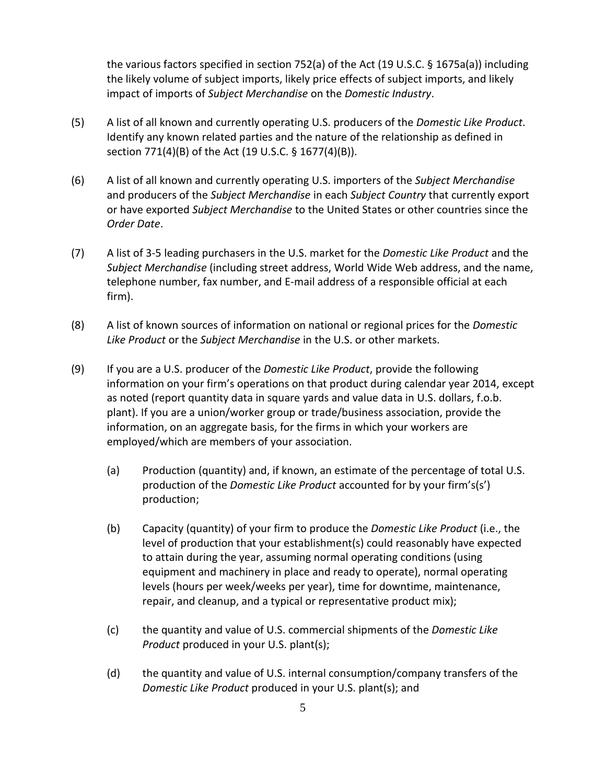the various factors specified in section 752(a) of the Act (19 U.S.C. § 1675a(a)) including the likely volume of subject imports, likely price effects of subject imports, and likely impact of imports of *Subject Merchandise* on the *Domestic Industry*.

- (5) A list of all known and currently operating U.S. producers of the *Domestic Like Product*. Identify any known related parties and the nature of the relationship as defined in section 771(4)(B) of the Act (19 U.S.C. § 1677(4)(B)).
- (6) A list of all known and currently operating U.S. importers of the *Subject Merchandise* and producers of the *Subject Merchandise* in each *Subject Country* that currently export or have exported *Subject Merchandise* to the United States or other countries since the *Order Date*.
- (7) A list of 3-5 leading purchasers in the U.S. market for the *Domestic Like Product* and the *Subject Merchandise* (including street address, World Wide Web address, and the name, telephone number, fax number, and E-mail address of a responsible official at each firm).
- (8) A list of known sources of information on national or regional prices for the *Domestic Like Product* or the *Subject Merchandise* in the U.S. or other markets.
- (9) If you are a U.S. producer of the *Domestic Like Product*, provide the following information on your firm's operations on that product during calendar year 2014, except as noted (report quantity data in square yards and value data in U.S. dollars, f.o.b. plant). If you are a union/worker group or trade/business association, provide the information, on an aggregate basis, for the firms in which your workers are employed/which are members of your association.
	- (a) Production (quantity) and, if known, an estimate of the percentage of total U.S. production of the *Domestic Like Product* accounted for by your firm's(s') production;
	- (b) Capacity (quantity) of your firm to produce the *Domestic Like Product* (i.e., the level of production that your establishment(s) could reasonably have expected to attain during the year, assuming normal operating conditions (using equipment and machinery in place and ready to operate), normal operating levels (hours per week/weeks per year), time for downtime, maintenance, repair, and cleanup, and a typical or representative product mix);
	- (c) the quantity and value of U.S. commercial shipments of the *Domestic Like Product* produced in your U.S. plant(s);
	- (d) the quantity and value of U.S. internal consumption/company transfers of the *Domestic Like Product* produced in your U.S. plant(s); and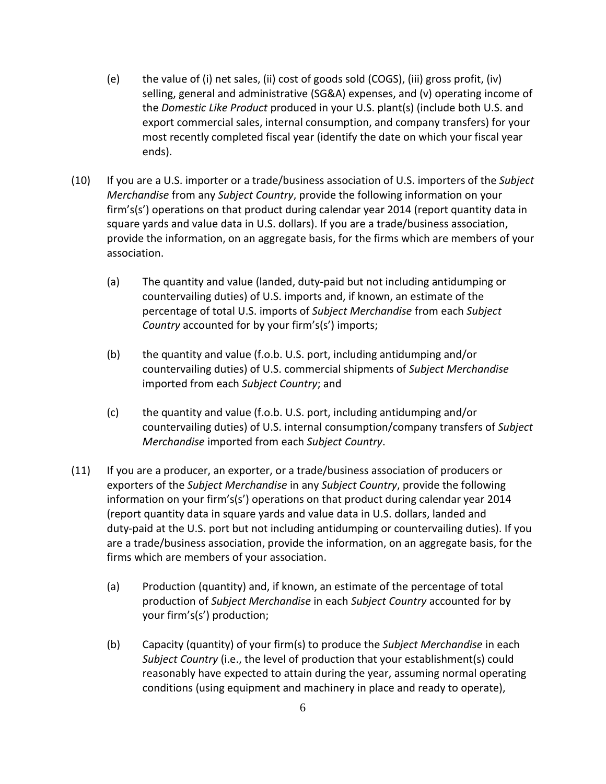- (e) the value of (i) net sales, (ii) cost of goods sold (COGS), (iii) gross profit, (iv) selling, general and administrative (SG&A) expenses, and (v) operating income of the *Domestic Like Product* produced in your U.S. plant(s) (include both U.S. and export commercial sales, internal consumption, and company transfers) for your most recently completed fiscal year (identify the date on which your fiscal year ends).
- (10) If you are a U.S. importer or a trade/business association of U.S. importers of the *Subject Merchandise* from any *Subject Country*, provide the following information on your firm's(s') operations on that product during calendar year 2014 (report quantity data in square yards and value data in U.S. dollars). If you are a trade/business association, provide the information, on an aggregate basis, for the firms which are members of your association.
	- (a) The quantity and value (landed, duty-paid but not including antidumping or countervailing duties) of U.S. imports and, if known, an estimate of the percentage of total U.S. imports of *Subject Merchandise* from each *Subject Country* accounted for by your firm's(s') imports;
	- (b) the quantity and value (f.o.b. U.S. port, including antidumping and/or countervailing duties) of U.S. commercial shipments of *Subject Merchandise* imported from each *Subject Country*; and
	- (c) the quantity and value (f.o.b. U.S. port, including antidumping and/or countervailing duties) of U.S. internal consumption/company transfers of *Subject Merchandise* imported from each *Subject Country*.
- (11) If you are a producer, an exporter, or a trade/business association of producers or exporters of the *Subject Merchandise* in any *Subject Country*, provide the following information on your firm's(s') operations on that product during calendar year 2014 (report quantity data in square yards and value data in U.S. dollars, landed and duty-paid at the U.S. port but not including antidumping or countervailing duties). If you are a trade/business association, provide the information, on an aggregate basis, for the firms which are members of your association.
	- (a) Production (quantity) and, if known, an estimate of the percentage of total production of *Subject Merchandise* in each *Subject Country* accounted for by your firm's(s') production;
	- (b) Capacity (quantity) of your firm(s) to produce the *Subject Merchandise* in each *Subject Country* (i.e., the level of production that your establishment(s) could reasonably have expected to attain during the year, assuming normal operating conditions (using equipment and machinery in place and ready to operate),